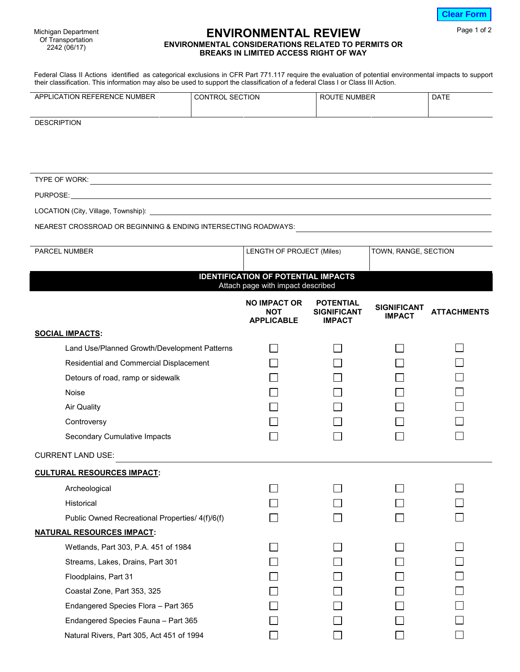| <b>Clear Form</b> |
|-------------------|
|-------------------|

Page 1 of 2

Michigan Department Of Transportation 2242 (06/17)

## **ENVIRONMENTAL REVIEW ENVIRONMENTAL CONSIDERATIONS RELATED TO PERMITS OR BREAKS IN LIMITED ACCESS RIGHT OF WAY**

Federal Class II Actions identified as categorical exclusions in CFR Part 771.117 require the evaluation of potential environmental impacts to support their classification. This information may also be used to support the classification of a federal Class I or Class III Action.

| <b>REFERENCE</b><br>NUMBER<br><b>FION</b><br>APP<br>.CA | <b>SECTION</b><br>)N | NUMBER<br>מם | <b>DATE</b> |
|---------------------------------------------------------|----------------------|--------------|-------------|
|                                                         |                      |              |             |

**DESCRIPTION** 

TYPE OF WORK: PURPOSE:

LOCATION (City, Village, Township):

NEAREST CROSSROAD OR BEGINNING & ENDING INTERSECTING ROADWAYS:

| PARCEL NUMBER                                                                   | LENGTH OF PROJECT (Miles)                              |                                                         | TOWN, RANGE, SECTION                |                    |  |  |  |
|---------------------------------------------------------------------------------|--------------------------------------------------------|---------------------------------------------------------|-------------------------------------|--------------------|--|--|--|
|                                                                                 |                                                        |                                                         |                                     |                    |  |  |  |
| <b>IDENTIFICATION OF POTENTIAL IMPACTS</b><br>Attach page with impact described |                                                        |                                                         |                                     |                    |  |  |  |
|                                                                                 | <b>NO IMPACT OR</b><br><b>NOT</b><br><b>APPLICABLE</b> | <b>POTENTIAL</b><br><b>SIGNIFICANT</b><br><b>IMPACT</b> | <b>SIGNIFICANT</b><br><b>IMPACT</b> | <b>ATTACHMENTS</b> |  |  |  |
| <b>SOCIAL IMPACTS:</b>                                                          |                                                        |                                                         |                                     |                    |  |  |  |
| Land Use/Planned Growth/Development Patterns                                    |                                                        |                                                         |                                     |                    |  |  |  |
| Residential and Commercial Displacement                                         |                                                        |                                                         |                                     |                    |  |  |  |
| Detours of road, ramp or sidewalk                                               |                                                        |                                                         |                                     |                    |  |  |  |
| <b>Noise</b>                                                                    |                                                        |                                                         |                                     |                    |  |  |  |
| <b>Air Quality</b>                                                              |                                                        |                                                         |                                     |                    |  |  |  |
| Controversy                                                                     |                                                        |                                                         |                                     |                    |  |  |  |
| Secondary Cumulative Impacts                                                    |                                                        |                                                         |                                     |                    |  |  |  |
| <b>CURRENT LAND USE:</b>                                                        |                                                        |                                                         |                                     |                    |  |  |  |
| <b>CULTURAL RESOURCES IMPACT:</b>                                               |                                                        |                                                         |                                     |                    |  |  |  |
| Archeological                                                                   |                                                        |                                                         |                                     |                    |  |  |  |
| Historical                                                                      |                                                        |                                                         |                                     |                    |  |  |  |
| Public Owned Recreational Properties/ 4(f)/6(f)                                 |                                                        |                                                         |                                     |                    |  |  |  |
| <b>NATURAL RESOURCES IMPACT:</b>                                                |                                                        |                                                         |                                     |                    |  |  |  |
| Wetlands, Part 303, P.A. 451 of 1984                                            |                                                        |                                                         |                                     |                    |  |  |  |
| Streams, Lakes, Drains, Part 301                                                |                                                        |                                                         |                                     |                    |  |  |  |
| Floodplains, Part 31                                                            |                                                        |                                                         |                                     |                    |  |  |  |
| Coastal Zone, Part 353, 325                                                     |                                                        |                                                         |                                     |                    |  |  |  |
| Endangered Species Flora - Part 365                                             |                                                        |                                                         |                                     |                    |  |  |  |
| Endangered Species Fauna - Part 365                                             |                                                        |                                                         |                                     |                    |  |  |  |
| Natural Rivers, Part 305, Act 451 of 1994                                       |                                                        |                                                         |                                     |                    |  |  |  |